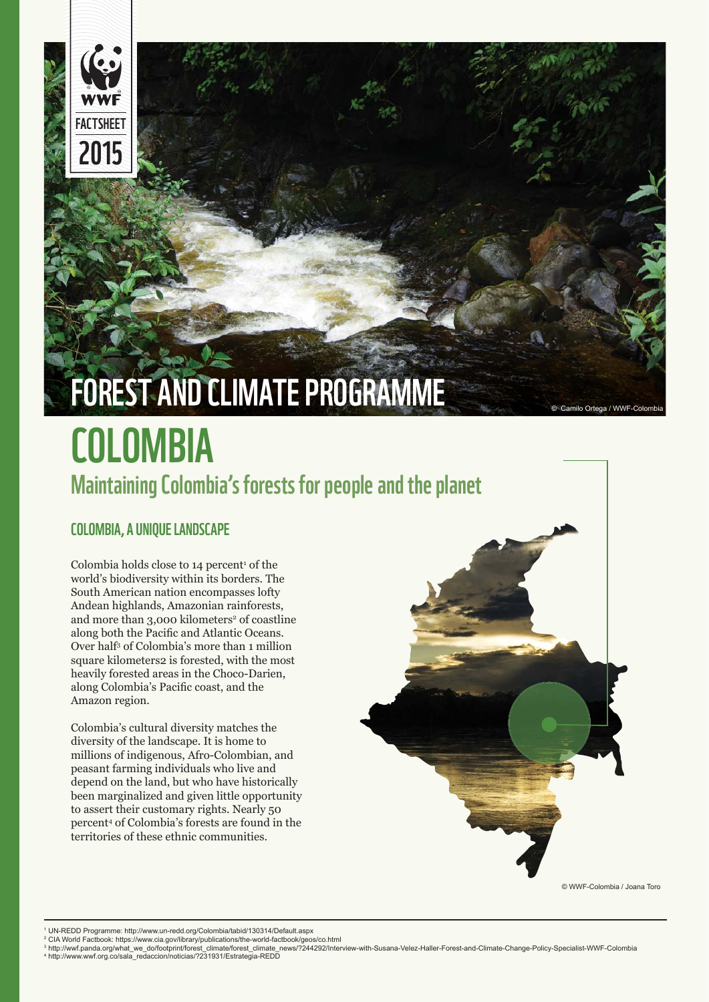

# **COLOMBIA Maintaining Colombia's forests for people and the planet** FOREST AND CLIMATE PROGRAMME

# **COLOMBIA, A UNIQUE LANDSCAPE**

Colombia holds close to  $14$  percent<sup>1</sup> of the world's biodiversity within its borders. The South American nation encompasses lofty Andean highlands, Amazonian rainforests, and more than 3,000 kilometers<sup>2</sup> of coastline along both the Pacific and Atlantic Oceans. Over half3 of Colombia's more than 1 million square kilometers2 is forested, with the most heavily forested areas in the Choco-Darien, along Colombia's Pacific coast, and the Amazon region.

Colombia's cultural diversity matches the diversity of the landscape. It is home to millions of indigenous, Afro-Colombian, and peasant farming individuals who live and depend on the land, but who have historically been marginalized and given little opportunity to assert their customary rights. Nearly 50 percent4 of Colombia's forests are found in the territories of these ethnic communities.



© WWF-Colombia / Joana Toro

1 UN-REDD Programme: http://www.un-redd.org/Colombia/tabid/130314/Default.aspx

<sup>2</sup> CIA World Factbook: https://www.cia.gov/library/publications/the-world-factbook/geos/co.html<br><sup>3</sup> http://wwf.panda.org/what\_we\_do/footprint/forest\_climate/forest\_climate\_news/?244292/Interview-with-Susana-Velez-Haller 4 http://www.wwf.org.co/sala\_redaccion/noticias/?231931/Estrategia-REDD